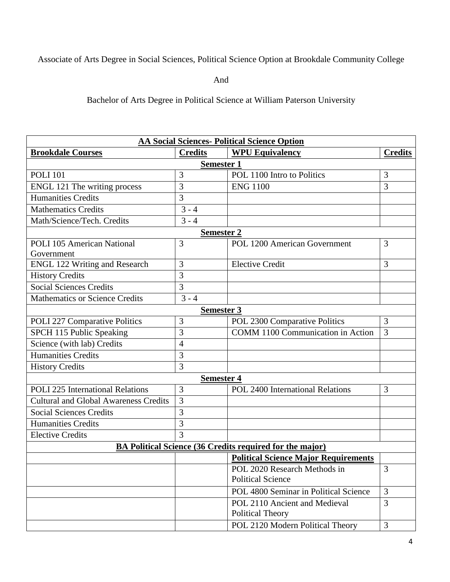## Associate of Arts Degree in Social Sciences, Political Science Option at Brookdale Community College

And

Bachelor of Arts Degree in Political Science at William Paterson University

| <b>AA Social Sciences- Political Science Option</b>             |                   |                                             |                |  |  |
|-----------------------------------------------------------------|-------------------|---------------------------------------------|----------------|--|--|
| <b>Brookdale Courses</b>                                        | <b>Credits</b>    | <b>WPU Equivalency</b>                      | <b>Credits</b> |  |  |
| <b>Semester 1</b>                                               |                   |                                             |                |  |  |
| <b>POLI 101</b>                                                 | 3                 | POL 1100 Intro to Politics                  | 3              |  |  |
| ENGL 121 The writing process                                    | 3                 | <b>ENG 1100</b>                             | $\overline{3}$ |  |  |
| <b>Humanities Credits</b>                                       | 3                 |                                             |                |  |  |
| <b>Mathematics Credits</b>                                      | $3 - 4$           |                                             |                |  |  |
| Math/Science/Tech. Credits                                      | $3 - 4$           |                                             |                |  |  |
|                                                                 | <b>Semester 2</b> |                                             |                |  |  |
| <b>POLI 105 American National</b>                               | 3                 | POL 1200 American Government                | 3              |  |  |
| Government                                                      |                   |                                             |                |  |  |
| <b>ENGL 122 Writing and Research</b>                            | 3                 | <b>Elective Credit</b>                      | 3              |  |  |
| <b>History Credits</b>                                          | 3                 |                                             |                |  |  |
| <b>Social Sciences Credits</b>                                  | 3                 |                                             |                |  |  |
| <b>Mathematics or Science Credits</b>                           | $3 - 4$           |                                             |                |  |  |
|                                                                 | Semester 3        |                                             |                |  |  |
| POLI 227 Comparative Politics                                   | 3                 | POL 2300 Comparative Politics               | 3              |  |  |
| SPCH 115 Public Speaking                                        | 3                 | <b>COMM 1100 Communication in Action</b>    | 3              |  |  |
| Science (with lab) Credits                                      | 4                 |                                             |                |  |  |
| <b>Humanities Credits</b>                                       | 3                 |                                             |                |  |  |
| <b>History Credits</b>                                          | 3                 |                                             |                |  |  |
| <b>Semester 4</b>                                               |                   |                                             |                |  |  |
| <b>POLI 225 International Relations</b>                         | 3                 | POL 2400 International Relations            | 3              |  |  |
| <b>Cultural and Global Awareness Credits</b>                    | 3                 |                                             |                |  |  |
| <b>Social Sciences Credits</b>                                  | 3                 |                                             |                |  |  |
| <b>Humanities Credits</b>                                       | 3                 |                                             |                |  |  |
| <b>Elective Credits</b>                                         | 3                 |                                             |                |  |  |
| <b>BA Political Science (36 Credits required for the major)</b> |                   |                                             |                |  |  |
|                                                                 |                   | <b>Political Science Major Requirements</b> |                |  |  |
|                                                                 |                   | POL 2020 Research Methods in                | 3              |  |  |
|                                                                 |                   | <b>Political Science</b>                    |                |  |  |
|                                                                 |                   | POL 4800 Seminar in Political Science       | 3              |  |  |
|                                                                 |                   | POL 2110 Ancient and Medieval               | $\overline{3}$ |  |  |
|                                                                 |                   | Political Theory                            |                |  |  |
|                                                                 |                   | POL 2120 Modern Political Theory            | $\overline{3}$ |  |  |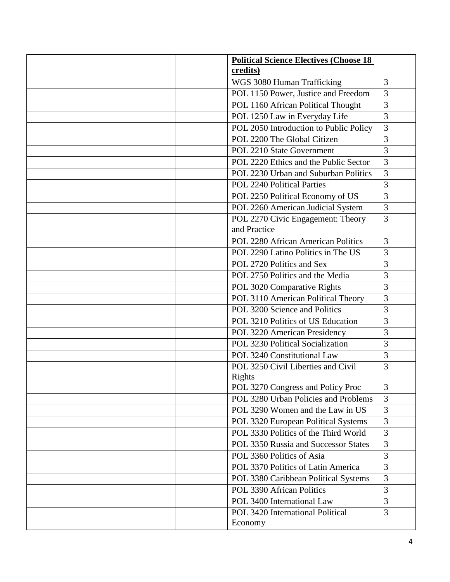| <b>Political Science Electives (Choose 18)</b> |                |
|------------------------------------------------|----------------|
| credits)                                       |                |
| WGS 3080 Human Trafficking                     | 3              |
| POL 1150 Power, Justice and Freedom            | 3              |
| POL 1160 African Political Thought             | 3              |
| POL 1250 Law in Everyday Life                  | 3              |
| POL 2050 Introduction to Public Policy         | 3              |
| POL 2200 The Global Citizen                    | 3              |
| POL 2210 State Government                      | 3              |
| POL 2220 Ethics and the Public Sector          | 3              |
| POL 2230 Urban and Suburban Politics           | 3              |
| <b>POL 2240 Political Parties</b>              | 3              |
| POL 2250 Political Economy of US               | 3              |
| POL 2260 American Judicial System              | 3              |
| POL 2270 Civic Engagement: Theory              | 3              |
| and Practice                                   |                |
| POL 2280 African American Politics             | 3              |
| POL 2290 Latino Politics in The US             | 3              |
| POL 2720 Politics and Sex                      | 3              |
| POL 2750 Politics and the Media                | 3              |
| POL 3020 Comparative Rights                    | 3              |
| POL 3110 American Political Theory             | 3              |
| POL 3200 Science and Politics                  | 3              |
| POL 3210 Politics of US Education              | 3              |
| POL 3220 American Presidency                   | 3              |
| POL 3230 Political Socialization               | 3              |
| POL 3240 Constitutional Law                    | 3              |
| POL 3250 Civil Liberties and Civil             | 3              |
| Rights                                         |                |
| POL 3270 Congress and Policy Proc              | 3              |
| POL 3280 Urban Policies and Problems           | 3              |
| POL 3290 Women and the Law in US               | $\overline{3}$ |
| POL 3320 European Political Systems            | 3              |
| POL 3330 Politics of the Third World           | 3              |
| POL 3350 Russia and Successor States           | 3              |
| POL 3360 Politics of Asia                      | 3              |
| POL 3370 Politics of Latin America             | 3              |
| POL 3380 Caribbean Political Systems           | 3              |
| POL 3390 African Politics                      | 3              |
| POL 3400 International Law                     | 3              |
| POL 3420 International Political               | 3              |
| Economy                                        |                |